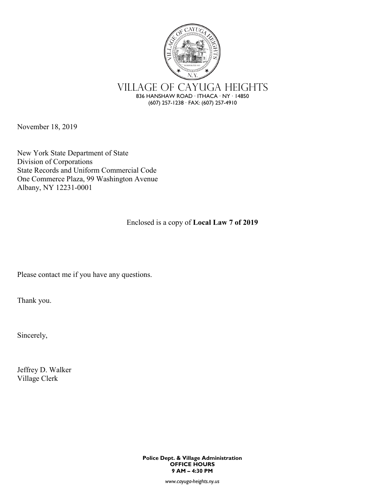

November 18, 2019

New York State Department of State Division of Corporations State Records and Uniform Commercial Code One Commerce Plaza, 99 Washington Avenue Albany, NY 12231-0001

Enclosed is a copy of **Local Law 7 of 2019**

Please contact me if you have any questions.

Thank you.

Sincerely,

Jeffrey D. Walker Village Clerk

> **Police Dept. & Village Administration OFFICE HOURS 9 AM – 4:30 PM**

> > *www.cayuga-heights.ny.us*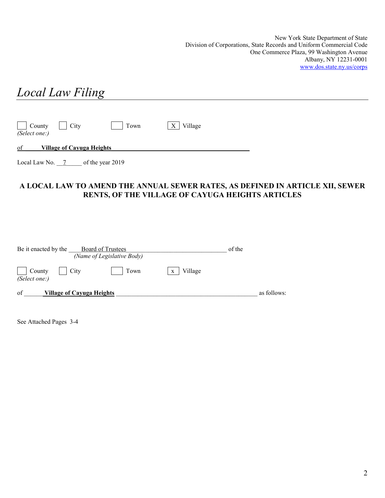New York State Department of State Division of Corporations, State Records and Uniform Commercial Code One Commerce Plaza, 99 Washington Avenue Albany, NY 12231-0001 [www.dos.state.ny.us/corps](http://www.dos.state.ny.us/corps)

| <b>Local Law Filing</b>                     |              |  |
|---------------------------------------------|--------------|--|
|                                             |              |  |
| County City<br><b>Town</b><br>(Select one:) | Village<br>X |  |
| of<br><b>Village of Cayuga Heights</b>      |              |  |
| Local Law No. $7$ of the year 2019          |              |  |

#### **A LOCAL LAW TO AMEND THE ANNUAL SEWER RATES, AS DEFINED IN ARTICLE XII, SEWER RENTS, OF THE VILLAGE OF CAYUGA HEIGHTS ARTICLES**

| Be it enacted by the<br>Board of Trustees<br>(Name of Legislative Body) |              | of the      |
|-------------------------------------------------------------------------|--------------|-------------|
| City<br>County<br>Town<br>(Select one:)                                 | Village<br>X |             |
| of<br><u>Village of Cayuga Heights</u>                                  |              | as follows: |

See Attached Pages 3-4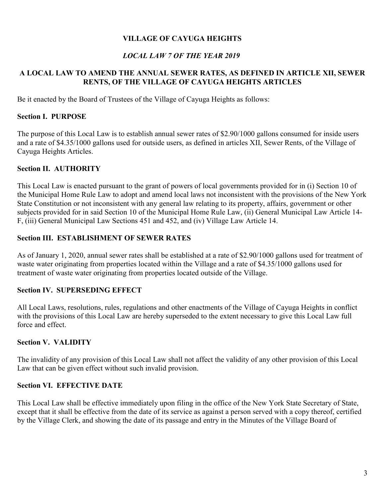# **VILLAGE OF CAYUGA HEIGHTS**

# *LOCAL LAW 7 OF THE YEAR 2019*

## **A LOCAL LAW TO AMEND THE ANNUAL SEWER RATES, AS DEFINED IN ARTICLE XII, SEWER RENTS, OF THE VILLAGE OF CAYUGA HEIGHTS ARTICLES**

Be it enacted by the Board of Trustees of the Village of Cayuga Heights as follows:

#### **Section I. PURPOSE**

The purpose of this Local Law is to establish annual sewer rates of \$2.90/1000 gallons consumed for inside users and a rate of \$4.35/1000 gallons used for outside users, as defined in articles XII, Sewer Rents, of the Village of Cayuga Heights Articles.

## **Section II. AUTHORITY**

This Local Law is enacted pursuant to the grant of powers of local governments provided for in (i) Section 10 of the Municipal Home Rule Law to adopt and amend local laws not inconsistent with the provisions of the New York State Constitution or not inconsistent with any general law relating to its property, affairs, government or other subjects provided for in said Section 10 of the Municipal Home Rule Law, (ii) General Municipal Law Article 14- F, (iii) General Municipal Law Sections 451 and 452, and (iv) Village Law Article 14.

## **Section III. ESTABLISHMENT OF SEWER RATES**

As of January 1, 2020, annual sewer rates shall be established at a rate of \$2.90/1000 gallons used for treatment of waste water originating from properties located within the Village and a rate of \$4.35/1000 gallons used for treatment of waste water originating from properties located outside of the Village.

## **Section IV. SUPERSEDING EFFECT**

All Local Laws, resolutions, rules, regulations and other enactments of the Village of Cayuga Heights in conflict with the provisions of this Local Law are hereby superseded to the extent necessary to give this Local Law full force and effect.

# **Section V. VALIDITY**

The invalidity of any provision of this Local Law shall not affect the validity of any other provision of this Local Law that can be given effect without such invalid provision.

## **Section VI. EFFECTIVE DATE**

This Local Law shall be effective immediately upon filing in the office of the New York State Secretary of State, except that it shall be effective from the date of its service as against a person served with a copy thereof, certified by the Village Clerk, and showing the date of its passage and entry in the Minutes of the Village Board of